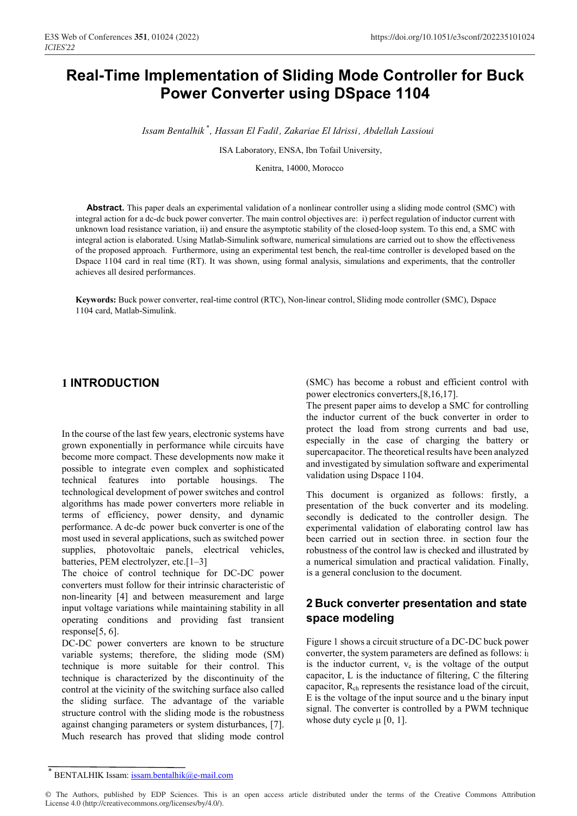# **Real-Time Implementation of Sliding Mode Controller for Buck Power Converter using DSpace 1104**

*Issam Bentalhik , Hassan El Fadil, Zakariae El Idrissi, Abdellah Lassioui \**

ISA Laboratory, ENSA, Ibn Tofail University,

Kenitra, 14000, Morocco

**Abstract.** This paper deals an experimental validation of a nonlinear controller using a sliding mode control (SMC) with integral action for a dc-dc buck power converter. The main control objectives are: i) perfect regulation of inductor current with unknown load resistance variation, ii) and ensure the asymptotic stability of the closed-loop system. To this end, a SMC with integral action is elaborated. Using Matlab-Simulink software, numerical simulations are carried out to show the effectiveness of the proposed approach. Furthermore, using an experimental test bench, the real-time controller is developed based on the Dspace 1104 card in real time (RT). It was shown, using formal analysis, simulations and experiments, that the controller achieves all desired performances.

**Keywords:** Buck power converter, real-time control (RTC), Non-linear control, Sliding mode controller (SMC), Dspace 1104 card, Matlab-Simulink.

# **1 INTRODUCTION**

In the course of the last few years, electronic systems have grown exponentially in performance while circuits have become more compact. These developments now make it possible to integrate even complex and sophisticated technical features into portable housings. The technological development of power switches and control algorithms has made power converters more reliable in terms of efficiency, power density, and dynamic performance. A dc-dc power buck converter is one of the most used in several applications, such as switched power supplies, photovoltaic panels, electrical vehicles, batteries, PEM electrolyzer, etc.[1–3]

The choice of control technique for DC-DC power converters must follow for their intrinsic characteristic of non-linearity [4] and between measurement and large input voltage variations while maintaining stability in all operating conditions and providing fast transient response[5, 6].

DC-DC power converters are known to be structure variable systems; therefore, the sliding mode (SM) technique is more suitable for their control. This technique is characterized by the discontinuity of the control at the vicinity of the switching surface also called the sliding surface. The advantage of the variable structure control with the sliding mode is the robustness against changing parameters or system disturbances, [7]. Much research has proved that sliding mode control (SMC) has become a robust and efficient control with power electronics converters,[8,16,17].

The present paper aims to develop a SMC for controlling the inductor current of the buck converter in order to protect the load from strong currents and bad use, especially in the case of charging the battery or supercapacitor. The theoretical results have been analyzed and investigated by simulation software and experimental validation using Dspace 1104.

This document is organized as follows: firstly, a presentation of the buck converter and its modeling. secondly is dedicated to the controller design. The experimental validation of elaborating control law has been carried out in section three. in section four the robustness of the control law is checked and illustrated by a numerical simulation and practical validation. Finally, is a general conclusion to the document.

# **2 Buck converter presentation and state space modeling**

Figure 1 shows a circuit structure of a DC-DC buck power converter, the system parameters are defined as follows: il is the inductor current,  $v_c$  is the voltage of the output capacitor, L is the inductance of filtering, C the filtering capacitor, Rch represents the resistance load of the circuit, E is the voltage of the input source and u the binary input signal. The converter is controlled by a PWM technique whose duty cycle  $\mu$  [0, 1].

BENTALHIK Issam: issam.bentalhik@e-mail.com

<sup>©</sup> The Authors, published by EDP Sciences. This is an open access article distributed under the terms of the Creative Commons Attribution License 4.0 (http://creativecommons.org/licenses/by/4.0/).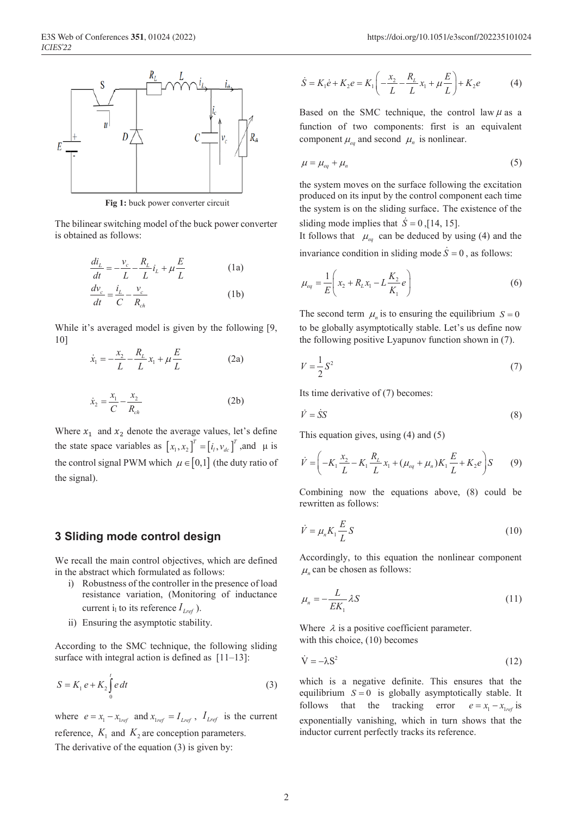

**Fig 1:** buck power converter circuit

The bilinear switching model of the buck power converter is obtained as follows:

$$
\frac{di_L}{dt} = -\frac{v_c}{L} - \frac{R_L}{L}i_L + \mu \frac{E}{L}
$$
\n(1a)  
\n
$$
\frac{dv_c}{dt} = \frac{i_L}{C} - \frac{v_c}{R_{ch}}
$$
\n(1b)

While it's averaged model is given by the following [9, 10]

$$
\dot{x}_1 = -\frac{x_2}{L} - \frac{R_L}{L} x_1 + \mu \frac{E}{L}
$$
 (2a)

$$
\dot{x}_2 = \frac{x_1}{C} - \frac{x_2}{R_{ch}}\tag{2b}
$$

Where  $x_1$  and  $x_2$  denote the average values, let's define the state space variables as  $[x_1, x_2]^T = [i_1, v_{dc}]^T$ , and  $\mu$  is the control signal PWM which  $\mu \in [0,1]$  (the duty ratio of the signal).

# **3 Sliding mode control design**

We recall the main control objectives, which are defined in the abstract which formulated as follows:

- i) Robustness of the controller in the presence of load resistance variation, (Monitoring of inductance current i<sub>l</sub> to its reference  $I_{lref}$ ).
- ii) Ensuring the asymptotic stability.

According to the SMC technique, the following sliding surface with integral action is defined as  $[11-13]$ :

$$
S = K_1 e + K_2 \int_0^t e \, dt \tag{3}
$$

where  $e = x_1 - x_{1ref}$  and  $x_{1ref} = I_{Lref}$ ,  $I_{Lref}$  is the current reference,  $K_1$  and  $K_2$  are conception parameters. The derivative of the equation (3) is given by:

$$
\dot{S} = K_1 \dot{e} + K_2 e = K_1 \left( -\frac{x_2}{L} - \frac{R_L}{L} x_1 + \mu \frac{E}{L} \right) + K_2 e \tag{4}
$$

Based on the SMC technique, the control law  $\mu$  as a function of two components: first is an equivalent component  $\mu_{eq}$  and second  $\mu_n$  is nonlinear.

$$
\mu = \mu_{eq} + \mu_n \tag{5}
$$

the system moves on the surface following the excitation produced on its input by the control component each time the system is on the sliding surface. The existence of the sliding mode implies that  $\dot{S} = 0$ , [14, 15].

It follows that  $\mu_{eq}$  can be deduced by using (4) and the invariance condition in sliding mode  $\dot{S} = 0$ , as follows:

$$
\mu_{eq} = \frac{1}{E} \left( x_2 + R_L x_1 - L \frac{K_2}{K_1} e \right)
$$
\n(6)

The second term  $\mu_n$  is to ensuring the equilibrium  $S = 0$ to be globally asymptotically stable. Let's us define now the following positive Lyapunov function shown in (7).

$$
V = \frac{1}{2}S^2\tag{7}
$$

Its time derivative of (7) becomes:

$$
\dot{V} = \dot{S}S\tag{8}
$$

This equation gives, using (4) and (5)

$$
\dot{V} = \left(-K_1 \frac{x_2}{L} - K_1 \frac{R_L}{L} x_1 + (\mu_{eq} + \mu_n) K_1 \frac{E}{L} + K_2 e\right) S \tag{9}
$$

Combining now the equations above, (8) could be rewritten as follows:

$$
\dot{V} = \mu_n K_1 \frac{E}{L} S \tag{10}
$$

Accordingly, to this equation the nonlinear component  $\mu$ <sub>n</sub> can be chosen as follows:

$$
\mu_n = -\frac{L}{EK_1} \lambda S \tag{11}
$$

Where  $\lambda$  is a positive coefficient parameter. with this choice, (10) becomes

$$
\dot{\mathbf{V}} = -\lambda \mathbf{S}^2 \tag{12}
$$

which is a negative definite. This ensures that the equilibrium  $S = 0$  is globally asymptotically stable. It follows that the tracking error  $e = x_1 - x_{1ref}$  is exponentially vanishing, which in turn shows that the inductor current perfectly tracks its reference.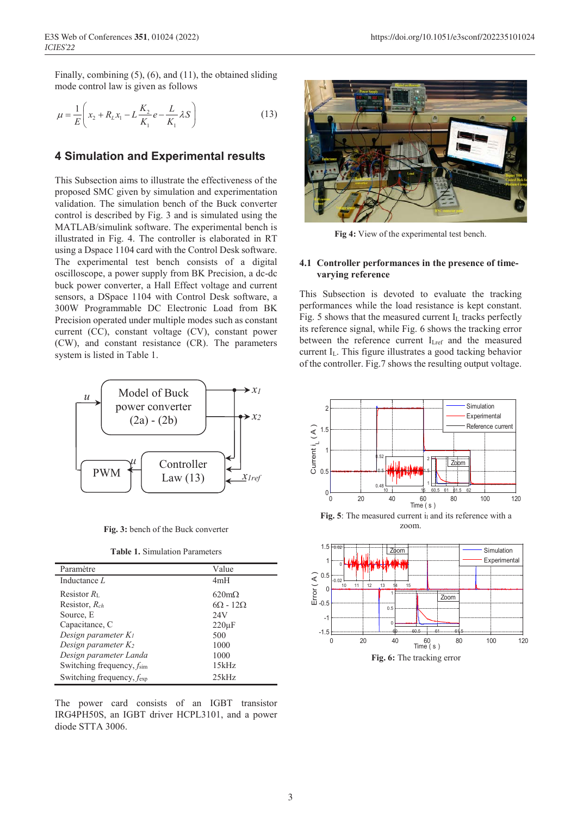Finally, combining (5), (6), and (11), the obtained sliding mode control law is given as follows

$$
\mu = \frac{1}{E} \left( x_2 + R_L x_1 - L \frac{K_2}{K_1} e - \frac{L}{K_1} \lambda S \right)
$$
(13)

# **4 Simulation and Experimental results**

This Subsection aims to illustrate the effectiveness of the proposed SMC given by simulation and experimentation validation. The simulation bench of the Buck converter control is described by Fig. 3 and is simulated using the MATLAB/simulink software. The experimental bench is illustrated in Fig. 4. The controller is elaborated in RT using a Dspace 1104 card with the Control Desk software. The experimental test bench consists of a digital oscilloscope, a power supply from BK Precision, a dc-dc buck power converter, a Hall Effect voltage and current sensors, a DSpace 1104 with Control Desk software, a 300W Programmable DC Electronic Load from BK Precision operated under multiple modes such as constant current (CC), constant voltage (CV), constant power (CW), and constant resistance (CR). The parameters system is listed in Table 1.



**Fig. 3:** bench of the Buck converter

**Table 1.** Simulation Parameters

| Paramètre                 | Value                |
|---------------------------|----------------------|
| Inductance L              | 4mH                  |
| Resistor $R_{L}$          | $620 \text{m}\Omega$ |
| Resistor, $R_{ch}$        | $6\Omega - 12\Omega$ |
| Source, E                 | 24V                  |
| Capacitance, C            | $220 \mu F$          |
| Design parameter $K_l$    | 500                  |
| Design parameter $K_2$    | 1000                 |
| Design parameter Landa    | 1000                 |
| Switching frequency, fsim | 15kHz                |
| Switching frequency, fexp | 25kHz                |

The power card consists of an IGBT transistor IRG4PH50S, an IGBT driver HCPL3101, and a power diode STTA 3006.



**Fig 4:** View of the experimental test bench.

#### **4.1 Controller performances in the presence of timevarying reference**

This Subsection is devoted to evaluate the tracking performances while the load resistance is kept constant. Fig. 5 shows that the measured current  $I_L$  tracks perfectly its reference signal, while Fig. 6 shows the tracking error between the reference current ILref and the measured current IL. This figure illustrates a good tacking behavior of the controller. Fig.7 shows the resulting output voltage.



Fig. 5: The measured current i<sub>l</sub> and its reference with a zoom.

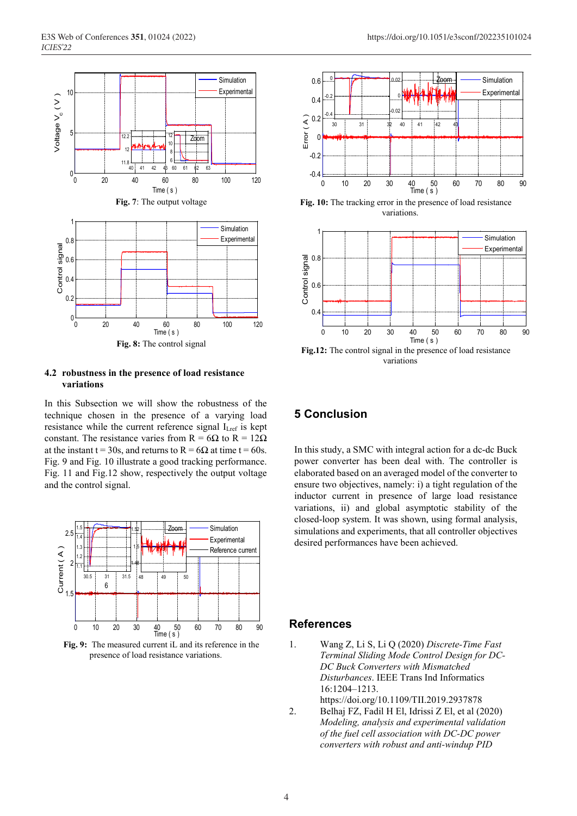

#### **4.2 robustness in the presence of load resistance variations**

In this Subsection we will show the robustness of the technique chosen in the presence of a varying load resistance while the current reference signal ILref is kept constant. The resistance varies from R =  $6\Omega$  to R =  $12\Omega$ at the instant t = 30s, and returns to R =  $6\Omega$  at time t = 60s. Fig. 9 and Fig. 10 illustrate a good tracking performance. Fig. 11 and Fig.12 show, respectively the output voltage and the control signal.



**Fig. 9:** The measured current iL and its reference in the presence of load resistance variations.



**Fig. 10:** The tracking error in the presence of load resistance variations.



**Fig.12:** The control signal in the presence of load resistance variations

# **5 Conclusion**

In this study, a SMC with integral action for a dc-dc Buck power converter has been deal with. The controller is elaborated based on an averaged model of the converter to ensure two objectives, namely: i) a tight regulation of the inductor current in presence of large load resistance variations, ii) and global asymptotic stability of the closed-loop system. It was shown, using formal analysis, simulations and experiments, that all controller objectives desired performances have been achieved.

# **References**

- 1. Wang Z, Li S, Li Q (2020) *Discrete-Time Fast Terminal Sliding Mode Control Design for DC-DC Buck Converters with Mismatched Disturbances*. IEEE Trans Ind Informatics 16:1204–1213.
	- https://doi.org/10.1109/TII.2019.2937878
- 2. Belhaj FZ, Fadil H El, Idrissi Z El, et al (2020) *Modeling, analysis and experimental validation of the fuel cell association with DC-DC power converters with robust and anti-windup PID*